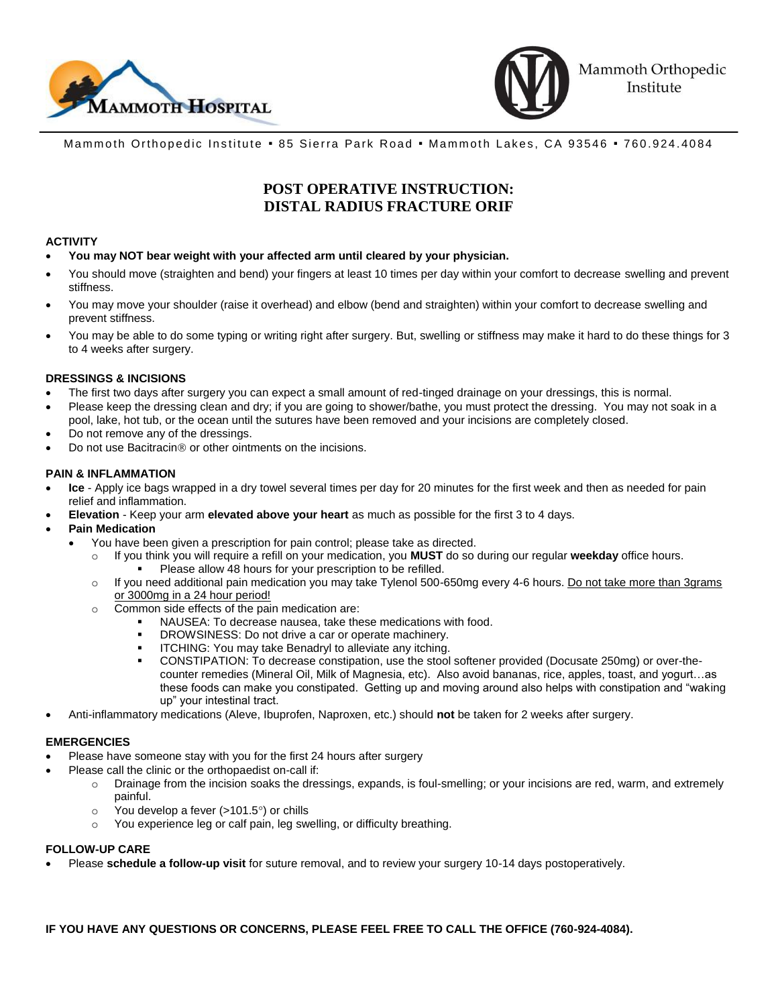



Mammoth Orthopedic Institute . 85 Sierra Park Road . Mammoth Lakes, CA 93546 . 760.924.4084

# **POST OPERATIVE INSTRUCTION: DISTAL RADIUS FRACTURE ORIF**

## **ACTIVITY**

- **You may NOT bear weight with your affected arm until cleared by your physician.**
- You should move (straighten and bend) your fingers at least 10 times per day within your comfort to decrease swelling and prevent stiffness.
- You may move your shoulder (raise it overhead) and elbow (bend and straighten) within your comfort to decrease swelling and prevent stiffness.
- You may be able to do some typing or writing right after surgery. But, swelling or stiffness may make it hard to do these things for 3 to 4 weeks after surgery.

## **DRESSINGS & INCISIONS**

- The first two days after surgery you can expect a small amount of red-tinged drainage on your dressings, this is normal.
- Please keep the dressing clean and dry; if you are going to shower/bathe, you must protect the dressing. You may not soak in a pool, lake, hot tub, or the ocean until the sutures have been removed and your incisions are completely closed.
- Do not remove any of the dressings.
- Do not use Bacitracin<sup>®</sup> or other ointments on the incisions.

## **PAIN & INFLAMMATION**

- **Ice**  Apply ice bags wrapped in a dry towel several times per day for 20 minutes for the first week and then as needed for pain relief and inflammation.
- **Elevation**  Keep your arm **elevated above your heart** as much as possible for the first 3 to 4 days.
- **Pain Medication**
	- You have been given a prescription for pain control; please take as directed.
		- o If you think you will require a refill on your medication, you **MUST** do so during our regular **weekday** office hours.
			- Please allow 48 hours for your prescription to be refilled.
		- If you need additional pain medication you may take Tylenol 500-650mg every 4-6 hours. Do not take more than 3grams or 3000mg in a 24 hour period!
		- o Common side effects of the pain medication are:
			- NAUSEA: To decrease nausea, take these medications with food.
			- DROWSINESS: Do not drive a car or operate machinery.
			- ITCHING: You may take Benadryl to alleviate any itching.
			- CONSTIPATION: To decrease constipation, use the stool softener provided (Docusate 250mg) or over-thecounter remedies (Mineral Oil, Milk of Magnesia, etc). Also avoid bananas, rice, apples, toast, and yogurt…as these foods can make you constipated. Getting up and moving around also helps with constipation and "waking up" your intestinal tract.
- Anti-inflammatory medications (Aleve, Ibuprofen, Naproxen, etc.) should **not** be taken for 2 weeks after surgery.

# **EMERGENCIES**

- Please have someone stay with you for the first 24 hours after surgery
- Please call the clinic or the orthopaedist on-call if:
	- o Drainage from the incision soaks the dressings, expands, is foul-smelling; or your incisions are red, warm, and extremely painful.
	- $\circ$  You develop a fever (>101.5°) or chills
	- o You experience leg or calf pain, leg swelling, or difficulty breathing.

# **FOLLOW-UP CARE**

Please **schedule a follow-up visit** for suture removal, and to review your surgery 10-14 days postoperatively.

**IF YOU HAVE ANY QUESTIONS OR CONCERNS, PLEASE FEEL FREE TO CALL THE OFFICE (760-924-4084).**